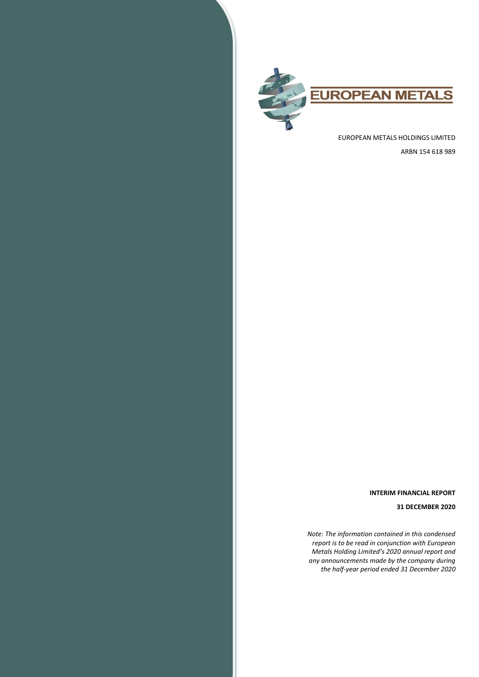

EUROPEAN METALS HOLDINGS LIMITED ARBN 154 618 989

## **INTERIM FINANCIAL REPORT**

**31 DECEMBER 2020**

*Note: The information contained in this condensed report is to be read in conjunction with European Metals Holding Limited's 2020 annual report and any announcements made by the company during Note: The information contained in this condensed<br>report is to be read in conjunction with European<br>Metals Holding Limited's 2020 annual report and<br>any announcements made by the company during<br>the half-year period ended 3*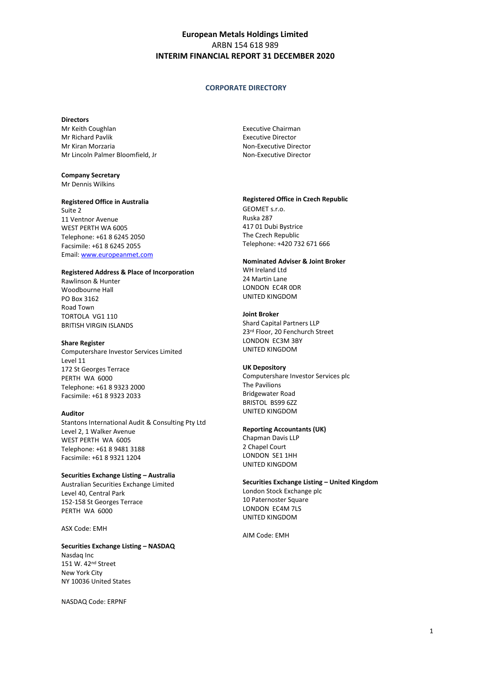### **CORPORATE DIRECTORY**

#### **Directors**

Mr Keith Coughlan Mr Richard Pavlik Mr Kiran Morzaria Mr Lincoln Palmer Bloomfield, Jr

#### **Company Secretary**

Mr Dennis Wilkins

### **Registered Office in Australia**

Suite 2 11 Ventnor Avenue WEST PERTH WA 6005 Telephone: +61 8 6245 2050 Facsimile: +61 8 6245 2055 Email: [www.europeanmet.com](http://www.europeanmet.com/)

#### **Registered Address & Place of Incorporation**

Rawlinson & Hunter Woodbourne Hall PO Box 3162 Road Town TORTOLA VG1 110 BRITISH VIRGIN ISLANDS

#### **Share Register**

Computershare Investor Services Limited Level 11 172 St Georges Terrace PERTH WA 6000 Telephone: +61 8 9323 2000 Facsimile: +61 8 9323 2033

#### **Auditor**

Stantons International Audit & Consulting Pty Ltd Level 2, 1 Walker Avenue WEST PERTH WA 6005 Telephone: +61 8 9481 3188 Facsimile: +61 8 9321 1204

#### **Securities Exchange Listing – Australia**

Australian Securities Exchange Limited Level 40, Central Park 152-158 St Georges Terrace PERTH WA 6000

#### ASX Code: EMH

## **Securities Exchange Listing – NASDAQ** Nasdaq Inc 151 W. 42nd Street New York City NY 10036 United States Sox code: EMIT<br>Securities Exchange Li<br>Nasdaq Inc<br>151 W. 42<sup>nd</sup> Street<br>New York City<br>NY 10036 United State<br>NASDAQ Code: ERPNF

Executive Chairman Executive Director Non-Executive Director Non-Executive Director

### **Registered Office in Czech Republic**

GEOMET s.r.o. Ruska 287 417 01 Dubi Bystrice The Czech Republic Telephone: +420 732 671 666

### **Nominated Adviser & Joint Broker**

WH Ireland Ltd 24 Martin Lane LONDON EC4R 0DR UNITED KINGDOM

## **Joint Broker**

Shard Capital Partners LLP 23rd Floor, 20 Fenchurch Street LONDON EC3M 3BY UNITED KINGDOM

#### **UK Depository**

Computershare Investor Services plc The Pavilions Bridgewater Road BRISTOL BS99 677 UNITED KINGDOM

### **Reporting Accountants (UK)**

Chapman Davis LLP 2 Chapel Court LONDON SE1 1HH UNITED KINGDOM

## **Securities Exchange Listing – United Kingdom**

London Stock Exchange plc 10 Paternoster Square LONDON EC4M 7LS UNITED KINGDOM

AIM Code: EMH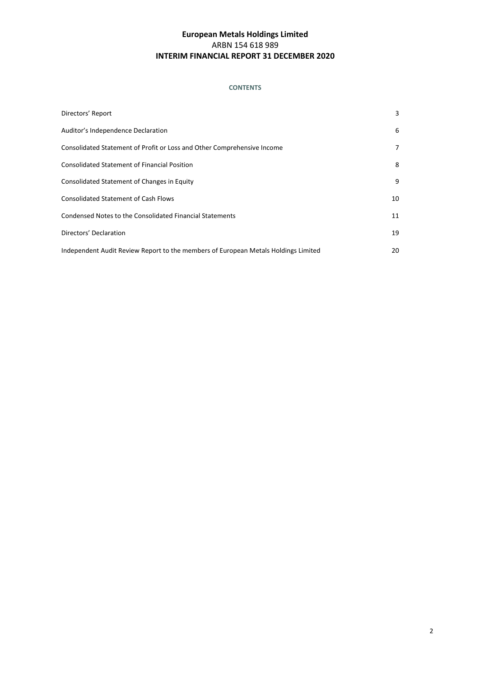## **CONTENTS**

| Directors' Report                                                                  | 3  |
|------------------------------------------------------------------------------------|----|
| Auditor's Independence Declaration                                                 | 6  |
| Consolidated Statement of Profit or Loss and Other Comprehensive Income            | 7  |
| <b>Consolidated Statement of Financial Position</b>                                | 8  |
| Consolidated Statement of Changes in Equity                                        | 9  |
| <b>Consolidated Statement of Cash Flows</b>                                        | 10 |
| Condensed Notes to the Consolidated Financial Statements                           | 11 |
| Directors' Declaration                                                             | 19 |
| Independent Audit Review Report to the members of European Metals Holdings Limited | 20 |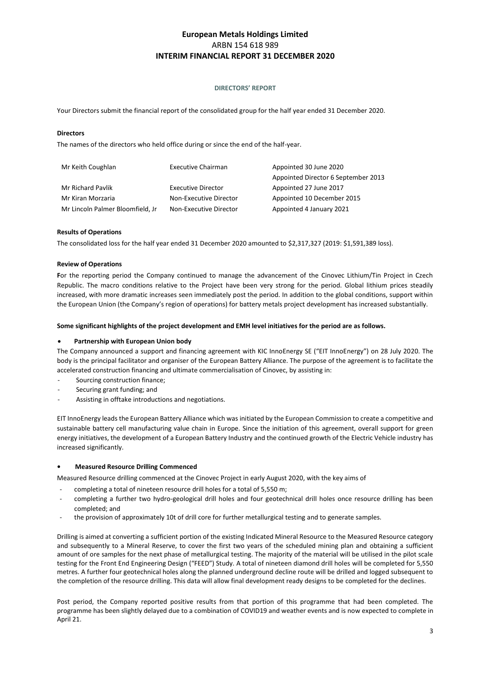### **DIRECTORS' REPORT**

Your Directors submit the financial report of the consolidated group for the half year ended 31 December 2020.

#### **Directors**

The names of the directors who held office during or since the end of the half-year.

| Mr Keith Coughlan                | <b>Executive Chairman</b> | Appointed 30 June 2020              |
|----------------------------------|---------------------------|-------------------------------------|
|                                  |                           | Appointed Director 6 September 2013 |
| Mr Richard Pavlik                | <b>Executive Director</b> | Appointed 27 June 2017              |
| Mr Kiran Morzaria                | Non-Executive Director    | Appointed 10 December 2015          |
| Mr Lincoln Palmer Bloomfield, Jr | Non-Executive Director    | Appointed 4 January 2021            |

#### **Results of Operations**

The consolidated loss for the half year ended 31 December 2020 amounted to \$2,317,327 (2019: \$1,591,389 loss).

#### **Review of Operations**

**F**or the reporting period the Company continued to manage the advancement of the Cinovec Lithium/Tin Project in Czech Republic. The macro conditions relative to the Project have been very strong for the period. Global lithium prices steadily increased, with more dramatic increases seen immediately post the period. In addition to the global conditions, support within the European Union (the Company's region of operations) for battery metals project development has increased substantially.

#### **Some significant highlights of the project development and EMH level initiatives for the period are as follows.**

### • **Partnership with European Union body**

The Company announced a support and financing agreement with KIC InnoEnergy SE ("EIT InnoEnergy") on 28 July 2020. The body is the principal facilitator and organiser of the European Battery Alliance. The purpose of the agreement is to facilitate the accelerated construction financing and ultimate commercialisation of Cinovec, by assisting in:

- Sourcing construction finance;
- Securing grant funding; and
- Assisting in offtake introductions and negotiations.

EIT InnoEnergy leads the European Battery Alliance which was initiated by the European Commission to create a competitive and sustainable battery cell manufacturing value chain in Europe. Since the initiation of this agreement, overall support for green energy initiatives, the development of a European Battery Industry and the continued growth of the Electric Vehicle industry has increased significantly.

#### **• Measured Resource Drilling Commenced**

Measured Resource drilling commenced at the Cinovec Project in early August 2020, with the key aims of

- completing a total of nineteen resource drill holes for a total of 5,550 m;
- completing a further two hydro-geological drill holes and four geotechnical drill holes once resource drilling has been completed; and
- the provision of approximately 10t of drill core for further metallurgical testing and to generate samples.

Drilling is aimed at converting a sufficient portion of the existing Indicated Mineral Resource to the Measured Resource category and subsequently to a Mineral Reserve, to cover the first two years of the scheduled mining plan and obtaining a sufficient amount of ore samples for the next phase of metallurgical testing. The majority of the material will be utilised in the pilot scale testing for the Front End Engineering Design ("FEED") Study. A total of nineteen diamond drill holes will be completed for 5,550 metres. A further four geotechnical holes along the planned underground decline route will be drilled and logged subsequent to the completion of the resource drilling. This data will allow final development ready designs to be completed for the declines. Drilling i<br>
and sub:<br>
amount<br>
testing f<br>
testing f<br>
metres.<br>
the com<br>
Post per<br>
program<br>
April 21.

Post period, the Company reported positive results from that portion of this programme that had been completed. The programme has been slightly delayed due to a combination of COVID19 and weather events and is now expected to complete in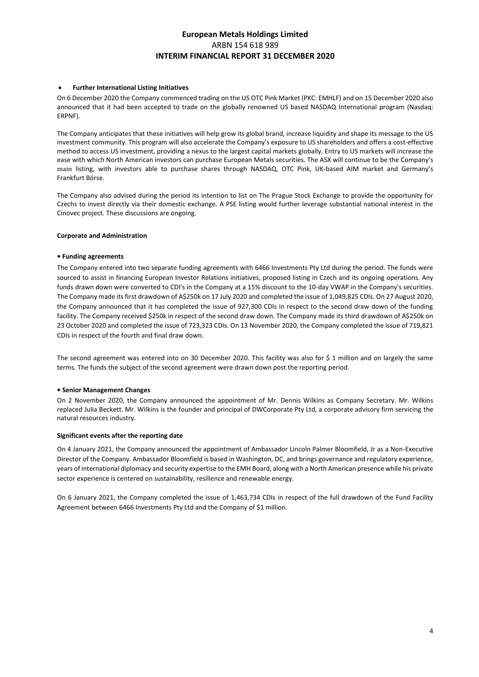#### • **Further International Listing Initiatives**

On 6 December 2020 the Company commenced trading on the US OTC Pink Market (PKC: EMHLF) and on 15 December 2020 also announced that it had been accepted to trade on the globally renowned US based NASDAQ International program (Nasdaq: ERPNF).

The Company anticipates that these initiatives will help grow its global brand, increase liquidity and shape its message to the US investment community. This program will also accelerate the Company's exposure to US shareholders and offers a cost-effective method to access US investment, providing a nexus to the largest capital markets globally. Entry to US markets will increase the ease with which North American investors can purchase European Metals securities. The ASX will continue to be the Company's main listing, with investors able to purchase shares through NASDAQ, OTC Pink, UK-based AIM market and Germany's Frankfurt Börse.

The Company also advised during the period its intention to list on The Prague Stock Exchange to provide the opportunity for Czechs to invest directly via their domestic exchange. A PSE listing would further leverage substantial national interest in the Cinovec project. These discussions are ongoing.

#### **Corporate and Administration**

#### **• Funding agreements**

The Company entered into two separate funding agreements with 6466 Investments Pty Ltd during the period. The funds were sourced to assist in financing European Investor Relations initiatives, proposed listing in Czech and its ongoing operations. Any funds drawn down were converted to CDI's in the Company at a 15% discount to the 10-day VWAP in the Company's securities. The Company made its first drawdown of A\$250k on 17 July 2020 and completed the issue of 1,049,825 CDIs. On 27 August 2020, the Company announced that it has completed the issue of 927,300 CDIs in respect to the second draw down of the funding facility. The Company received \$250k in respect of the second draw down. The Company made its third drawdown of A\$250k on 23 October 2020 and completed the issue of 723,323 CDIs. On 13 November 2020, the Company completed the issue of 719,821 CDIs in respect of the fourth and final draw down.

The second agreement was entered into on 30 December 2020. This facility was also for \$ 1 million and on largely the same terms. The funds the subject of the second agreement were drawn down post the reporting period.

#### **• Senior Management Changes**

On 2 November 2020, the Company announced the appointment of Mr. Dennis Wilkins as Company Secretary. Mr. Wilkins replaced Julia Beckett. Mr. Wilkins is the founder and principal of DWCorporate Pty Ltd, a corporate advisory firm servicing the natural resources industry.

#### **Significant events after the reporting date**

On 4 January 2021, the Company announced the appointment of Ambassador Lincoln Palmer Bloomfield, Jr as a Non-Executive Director of the Company. Ambassador Bloomfield is based in Washington, DC, and brings governance and regulatory experience, years of international diplomacy and security expertise to the EMH Board, along with a North American presence while his private sector experience is centered on sustainability, resilience and renewable energy.

On 6 January 2021, the Company completed the issue of 1,463,734 CDIs in respect of the full drawdown of the Fund Facility Agreement between 6466 Investments Pty Ltd and the Company of \$1 million.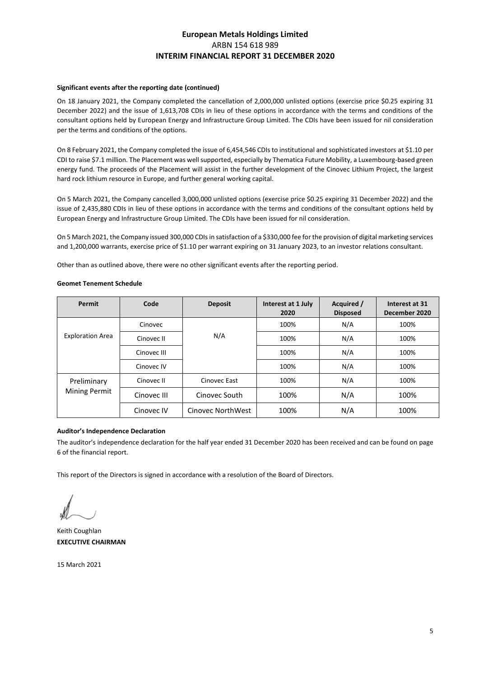#### **Significant events after the reporting date (continued)**

On 18 January 2021, the Company completed the cancellation of 2,000,000 unlisted options (exercise price \$0.25 expiring 31 December 2022) and the issue of 1,613,708 CDIs in lieu of these options in accordance with the terms and conditions of the consultant options held by European Energy and Infrastructure Group Limited. The CDIs have been issued for nil consideration per the terms and conditions of the options.

On 8 February 2021, the Company completed the issue of 6,454,546 CDIs to institutional and sophisticated investors at \$1.10 per CDI to raise \$7.1 million. The Placement was well supported, especially by Thematica Future Mobility, a Luxembourg-based green energy fund. The proceeds of the Placement will assist in the further development of the Cinovec Lithium Project, the largest hard rock lithium resource in Europe, and further general working capital.

On 5 March 2021, the Company cancelled 3,000,000 unlisted options (exercise price \$0.25 expiring 31 December 2022) and the issue of 2,435,880 CDIs in lieu of these options in accordance with the terms and conditions of the consultant options held by European Energy and Infrastructure Group Limited. The CDIs have been issued for nil consideration.

On 5 March 2021, the Company issued 300,000 CDIs in satisfaction of a \$330,000 fee for the provision of digital marketing services and 1,200,000 warrants, exercise price of \$1.10 per warrant expiring on 31 January 2023, to an investor relations consultant.

Other than as outlined above, there were no other significant events after the reporting period.

#### **Geomet Tenement Schedule**

| Permit                  | Code        | <b>Deposit</b>    | Interest at 1 July<br>2020 | Acquired /<br><b>Disposed</b> | Interest at 31<br>December 2020 |
|-------------------------|-------------|-------------------|----------------------------|-------------------------------|---------------------------------|
|                         | Cinovec     |                   | 100%                       | N/A                           | 100%                            |
| <b>Exploration Area</b> | Cinovec II  | N/A               | 100%                       | N/A                           | 100%                            |
|                         | Cinovec III |                   | 100%                       | N/A                           | 100%                            |
|                         | Cinovec IV  |                   | 100%                       | N/A                           | 100%                            |
| Preliminary             | Cinovec II  | Cinovec East      | 100%                       | N/A                           | 100%                            |
| Mining Permit           | Cinovec III | Cinovec South     | 100%                       | N/A                           | 100%                            |
|                         | Cinovec IV  | Cinovec NorthWest | 100%                       | N/A                           | 100%                            |

#### **Auditor's Independence Declaration**

The auditor's independence declaration for the half year ended 31 December 2020 has been received and can be found on page 6 of the financial report.

This report of the Directors is signed in accordance with a resolution of the Board of Directors.

Keith Coughlan **EXECUTIVE CHAIRMAN** Keith Coughlan<br>**EXECUTIVE CH,<br>15 March 2021**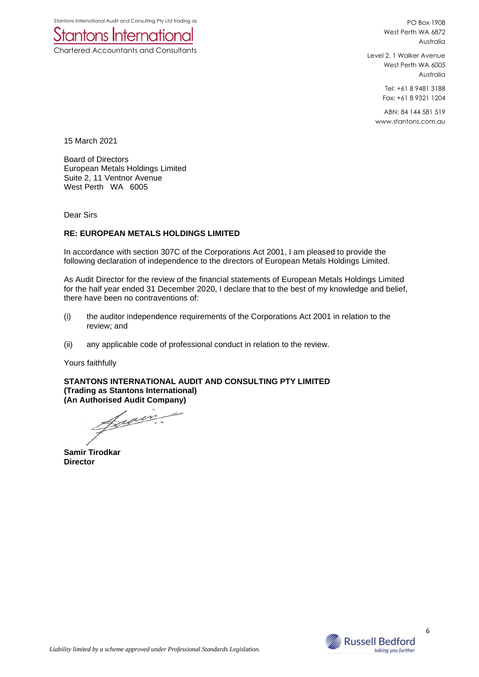Stantons International Audit and Consulting Pty Ltd trading as

Stantons International

Chartered Accountants and Consultants

PO Box 1908 West Perth WA 6872 Australia

Level 2, 1 Walker Avenue West Perth WA 6005 Australia

> Tel: +61 8 9481 3188 Fax: +61 8 9321 1204

ABN: 84 144 581 519 www.stantons.com.au

15 March 2021

Board of Directors European Metals Holdings Limited Suite 2, 11 Ventnor Avenue West Perth WA 6005

Dear Sirs

### **RE: EUROPEAN METALS HOLDINGS LIMITED**

In accordance with section 307C of the Corporations Act 2001, I am pleased to provide the following declaration of independence to the directors of European Metals Holdings Limited.

As Audit Director for the review of the financial statements of European Metals Holdings Limited for the half year ended 31 December 2020, I declare that to the best of my knowledge and belief, there have been no contraventions of:

- (i) the auditor independence requirements of the Corporations Act 2001 in relation to the review; and
- (ii) any applicable code of professional conduct in relation to the review.

Yours faithfully

**STANTONS INTERNATIONAL AUDIT AND CONSULTING PTY LIMITED (Trading as Stantons International) (An Authorised Audit Company)**

fracis

**Samir Tirodkar Director**

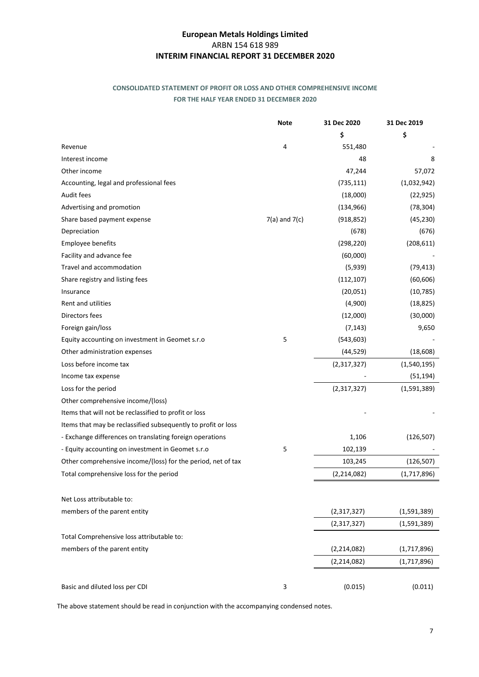## **CONSOLIDATED STATEMENT OF PROFIT OR LOSS AND OTHER COMPREHENSIVE INCOME FOR THE HALF YEAR ENDED 31 DECEMBER 2020**

|                                                               | <b>Note</b>       | 31 Dec 2020   | 31 Dec 2019 |
|---------------------------------------------------------------|-------------------|---------------|-------------|
|                                                               |                   | \$            | \$          |
| Revenue                                                       | 4                 | 551,480       |             |
| Interest income                                               |                   | 48            | 8           |
| Other income                                                  |                   | 47,244        | 57,072      |
| Accounting, legal and professional fees                       |                   | (735, 111)    | (1,032,942) |
| Audit fees                                                    |                   | (18,000)      | (22, 925)   |
| Advertising and promotion                                     |                   | (134, 966)    | (78, 304)   |
| Share based payment expense                                   | $7(a)$ and $7(c)$ | (918, 852)    | (45, 230)   |
| Depreciation                                                  |                   | (678)         | (676)       |
| Employee benefits                                             |                   | (298, 220)    | (208, 611)  |
| Facility and advance fee                                      |                   | (60,000)      |             |
| Travel and accommodation                                      |                   | (5,939)       | (79, 413)   |
| Share registry and listing fees                               |                   | (112, 107)    | (60, 606)   |
| Insurance                                                     |                   | (20,051)      | (10, 785)   |
| Rent and utilities                                            |                   | (4,900)       | (18, 825)   |
| Directors fees                                                |                   | (12,000)      | (30,000)    |
| Foreign gain/loss                                             |                   | (7, 143)      | 9,650       |
| Equity accounting on investment in Geomet s.r.o               | 5                 | (543, 603)    |             |
| Other administration expenses                                 |                   | (44, 529)     | (18, 608)   |
| Loss before income tax                                        |                   | (2,317,327)   | (1,540,195) |
| Income tax expense                                            |                   |               | (51, 194)   |
| Loss for the period                                           |                   | (2,317,327)   | (1,591,389) |
| Other comprehensive income/(loss)                             |                   |               |             |
| Items that will not be reclassified to profit or loss         |                   |               |             |
| Items that may be reclassified subsequently to profit or loss |                   |               |             |
| - Exchange differences on translating foreign operations      |                   | 1,106         | (126, 507)  |
| - Equity accounting on investment in Geomet s.r.o             | 5                 | 102,139       |             |
| Other comprehensive income/(loss) for the period, net of tax  |                   | 103,245       | (126, 507)  |
| Total comprehensive loss for the period                       |                   | (2, 214, 082) | (1,717,896) |
| Net Loss attributable to:                                     |                   |               |             |
| members of the parent entity                                  |                   | (2,317,327)   | (1,591,389) |
|                                                               |                   | (2,317,327)   | (1,591,389) |
| Total Comprehensive loss attributable to:                     |                   |               |             |
| members of the parent entity                                  |                   | (2, 214, 082) | (1,717,896) |
|                                                               |                   | (2, 214, 082) | (1,717,896) |
| Basic and diluted loss per CDI                                | 3                 | (0.015)       | (0.011)     |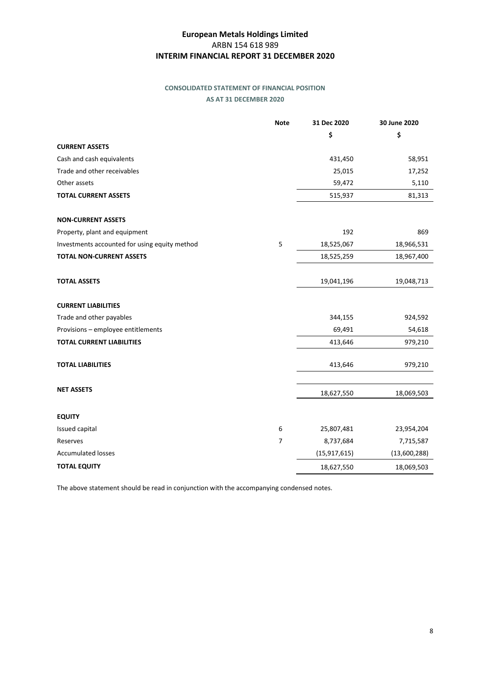## **CONSOLIDATED STATEMENT OF FINANCIAL POSITION AS AT 31 DECEMBER 2020**

|                                               | <b>Note</b> | 31 Dec 2020    | 30 June 2020 |
|-----------------------------------------------|-------------|----------------|--------------|
|                                               |             | \$             | \$           |
| <b>CURRENT ASSETS</b>                         |             |                |              |
| Cash and cash equivalents                     |             | 431,450        | 58,951       |
| Trade and other receivables                   |             | 25,015         | 17,252       |
| Other assets                                  |             | 59,472         | 5,110        |
| <b>TOTAL CURRENT ASSETS</b>                   |             | 515,937        | 81,313       |
| <b>NON-CURRENT ASSETS</b>                     |             |                |              |
| Property, plant and equipment                 |             | 192            | 869          |
| Investments accounted for using equity method | $\mathsf S$ | 18,525,067     | 18,966,531   |
| <b>TOTAL NON-CURRENT ASSETS</b>               |             | 18,525,259     | 18,967,400   |
| <b>TOTAL ASSETS</b>                           |             | 19,041,196     | 19,048,713   |
| <b>CURRENT LIABILITIES</b>                    |             |                |              |
| Trade and other payables                      |             | 344,155        | 924,592      |
| Provisions - employee entitlements            |             | 69,491         | 54,618       |
| <b>TOTAL CURRENT LIABILITIES</b>              |             | 413,646        | 979,210      |
| <b>TOTAL LIABILITIES</b>                      |             | 413,646        | 979,210      |
| <b>NET ASSETS</b>                             |             | 18,627,550     | 18,069,503   |
|                                               |             |                |              |
| <b>EQUITY</b>                                 |             |                |              |
| Issued capital                                | 6           | 25,807,481     | 23,954,204   |
| Reserves                                      | 7           | 8,737,684      | 7,715,587    |
| <b>Accumulated losses</b>                     |             | (15, 917, 615) | (13,600,288) |
| <b>TOTAL EQUITY</b>                           |             | 18,627,550     | 18,069,503   |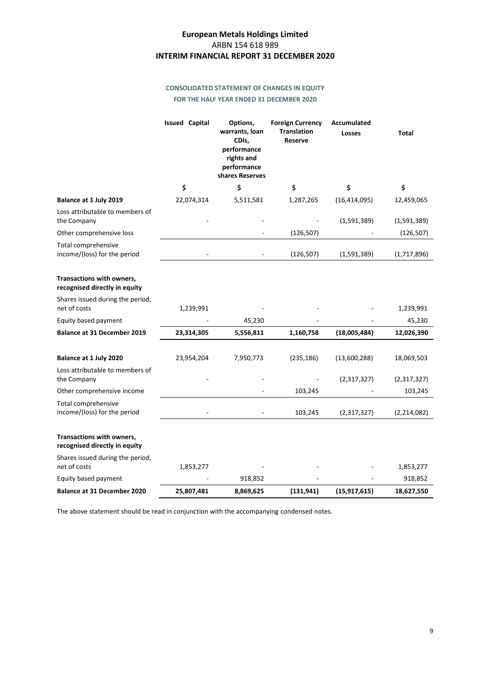## **CONSOLIDATED STATEMENT OF CHANGES IN EQUITY FOR THE HALF YEAR ENDED 31 DECEMBER 2020**

|                                                            | <b>Issued Capital</b> | Options,<br>warrants, loan<br>CDIs,<br>performance<br>rights and<br>performance<br>shares Reserves | <b>Foreign Currency</b><br><b>Translation</b><br>Reserve | Accumulated<br>Losses | <b>Total</b>  |
|------------------------------------------------------------|-----------------------|----------------------------------------------------------------------------------------------------|----------------------------------------------------------|-----------------------|---------------|
|                                                            | \$                    | \$                                                                                                 | \$                                                       | \$                    | \$            |
| Balance at 1 July 2019                                     | 22,074,314            | 5,511,581                                                                                          | 1,287,265                                                | (16, 414, 095)        | 12,459,065    |
| Loss attributable to members of<br>the Company             |                       |                                                                                                    |                                                          | (1,591,389)           | (1,591,389)   |
| Other comprehensive loss                                   |                       |                                                                                                    | (126, 507)                                               |                       | (126, 507)    |
| Total comprehensive<br>income/(loss) for the period        |                       |                                                                                                    | (126, 507)                                               | (1,591,389)           | (1,717,896)   |
| Transactions with owners,<br>recognised directly in equity |                       |                                                                                                    |                                                          |                       |               |
| Shares issued during the period,<br>net of costs           | 1,239,991             |                                                                                                    |                                                          |                       | 1,239,991     |
| Equity based payment                                       |                       | 45,230                                                                                             |                                                          |                       | 45,230        |
| <b>Balance at 31 December 2019</b>                         | 23,314,305            | 5,556,811                                                                                          | 1,160,758                                                | (18,005,484)          | 12,026,390    |
| Balance at 1 July 2020<br>Loss attributable to members of  | 23,954,204            | 7,950,773                                                                                          | (235, 186)                                               | (13,600,288)          | 18,069,503    |
| the Company                                                |                       |                                                                                                    |                                                          | (2,317,327)           | (2,317,327)   |
| Other comprehensive income                                 |                       |                                                                                                    | 103,245                                                  |                       | 103,245       |
| Total comprehensive<br>income/(loss) for the period        |                       |                                                                                                    | 103,245                                                  | (2,317,327)           | (2, 214, 082) |
| Transactions with owners,<br>recognised directly in equity |                       |                                                                                                    |                                                          |                       |               |
| Shares issued during the period,<br>net of costs           | 1,853,277             |                                                                                                    |                                                          |                       | 1,853,277     |
| Equity based payment                                       |                       | 918,852                                                                                            |                                                          |                       | 918,852       |
| <b>Balance at 31 December 2020</b>                         | 25,807,481            | 8,869,625                                                                                          | (131, 941)                                               | (15, 917, 615)        | 18,627,550    |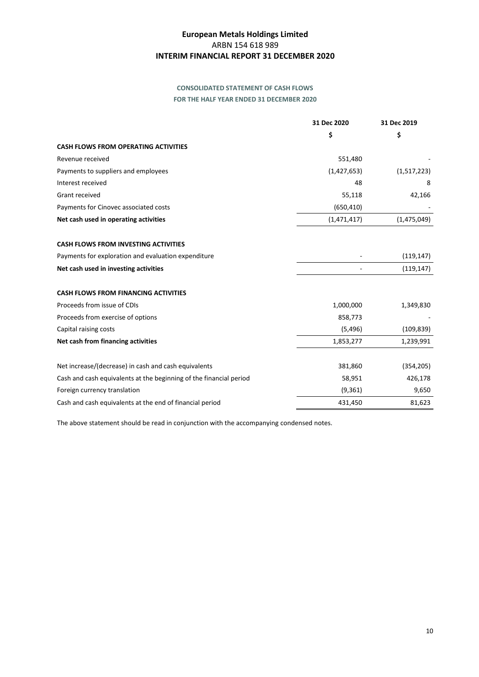## **CONSOLIDATED STATEMENT OF CASH FLOWS FOR THE HALF YEAR ENDED 31 DECEMBER 2020**

|                                                                    | 31 Dec 2020 | 31 Dec 2019 |
|--------------------------------------------------------------------|-------------|-------------|
|                                                                    | \$          | \$          |
| <b>CASH FLOWS FROM OPERATING ACTIVITIES</b>                        |             |             |
| Revenue received                                                   | 551,480     |             |
| Payments to suppliers and employees                                | (1,427,653) | (1,517,223) |
| Interest received                                                  | 48          | 8           |
| Grant received                                                     | 55,118      | 42,166      |
| Payments for Cinovec associated costs                              | (650, 410)  |             |
| Net cash used in operating activities                              | (1,471,417) | (1,475,049) |
|                                                                    |             |             |
| <b>CASH FLOWS FROM INVESTING ACTIVITIES</b>                        |             |             |
| Payments for exploration and evaluation expenditure                |             | (119, 147)  |
| Net cash used in investing activities                              |             | (119, 147)  |
|                                                                    |             |             |
| <b>CASH FLOWS FROM FINANCING ACTIVITIES</b>                        |             |             |
| Proceeds from issue of CDIs                                        | 1,000,000   | 1,349,830   |
| Proceeds from exercise of options                                  | 858,773     |             |
| Capital raising costs                                              | (5,496)     | (109, 839)  |
| Net cash from financing activities                                 | 1,853,277   | 1,239,991   |
|                                                                    |             |             |
| Net increase/(decrease) in cash and cash equivalents               | 381,860     | (354, 205)  |
| Cash and cash equivalents at the beginning of the financial period | 58,951      | 426,178     |
| Foreign currency translation                                       | (9, 361)    | 9,650       |
| Cash and cash equivalents at the end of financial period           | 431,450     | 81,623      |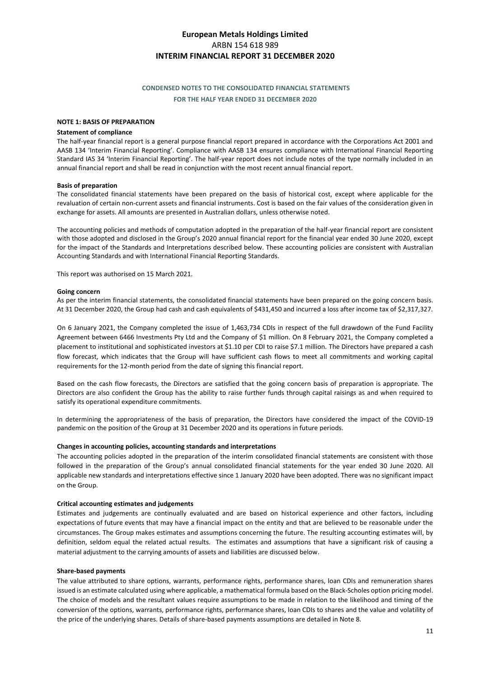## **CONDENSED NOTES TO THE CONSOLIDATED FINANCIAL STATEMENTS FOR THE HALF YEAR ENDED 31 DECEMBER 2020**

#### **NOTE 1: BASIS OF PREPARATION**

#### **Statement of compliance**

The half-year financial report is a general purpose financial report prepared in accordance with the Corporations Act 2001 and AASB 134 'Interim Financial Reporting'. Compliance with AASB 134 ensures compliance with International Financial Reporting Standard IAS 34 'Interim Financial Reporting'. The half-year report does not include notes of the type normally included in an annual financial report and shall be read in conjunction with the most recent annual financial report.

#### **Basis of preparation**

The consolidated financial statements have been prepared on the basis of historical cost, except where applicable for the revaluation of certain non-current assets and financial instruments. Cost is based on the fair values of the consideration given in exchange for assets. All amounts are presented in Australian dollars, unless otherwise noted.

The accounting policies and methods of computation adopted in the preparation of the half-year financial report are consistent with those adopted and disclosed in the Group's 2020 annual financial report for the financial year ended 30 June 2020, except for the impact of the Standards and Interpretations described below. These accounting policies are consistent with Australian Accounting Standards and with International Financial Reporting Standards.

This report was authorised on 15 March 2021.

#### **Going concern**

As per the interim financial statements, the consolidated financial statements have been prepared on the going concern basis. At 31 December 2020, the Group had cash and cash equivalents of \$431,450 and incurred a loss after income tax of \$2,317,327.

On 6 January 2021, the Company completed the issue of 1,463,734 CDIs in respect of the full drawdown of the Fund Facility Agreement between 6466 Investments Pty Ltd and the Company of \$1 million. On 8 February 2021, the Company completed a placement to institutional and sophisticated investors at \$1.10 per CDI to raise \$7.1 million. The Directors have prepared a cash flow forecast, which indicates that the Group will have sufficient cash flows to meet all commitments and working capital requirements for the 12-month period from the date of signing this financial report.

Based on the cash flow forecasts, the Directors are satisfied that the going concern basis of preparation is appropriate. The Directors are also confident the Group has the ability to raise further funds through capital raisings as and when required to satisfy its operational expenditure commitments.

In determining the appropriateness of the basis of preparation, the Directors have considered the impact of the COVID-19 pandemic on the position of the Group at 31 December 2020 and its operations in future periods.

#### **Changes in accounting policies, accounting standards and interpretations**

The accounting policies adopted in the preparation of the interim consolidated financial statements are consistent with those followed in the preparation of the Group's annual consolidated financial statements for the year ended 30 June 2020. All applicable new standards and interpretations effective since 1 January 2020 have been adopted. There was no significant impact on the Group.

#### **Critical accounting estimates and judgements**

Estimates and judgements are continually evaluated and are based on historical experience and other factors, including expectations of future events that may have a financial impact on the entity and that are believed to be reasonable under the circumstances. The Group makes estimates and assumptions concerning the future. The resulting accounting estimates will, by definition, seldom equal the related actual results. The estimates and assumptions that have a significant risk of causing a material adjustment to the carrying amounts of assets and liabilities are discussed below.

#### **Share-based payments**

The value attributed to share options, warrants, performance rights, performance shares, loan CDIs and remuneration shares issued is an estimate calculated using where applicable, a mathematical formula based on the Black-Scholes option pricing model. The choice of models and the resultant values require assumptions to be made in relation to the likelihood and timing of the conversion of the options, warrants, performance rights, performance shares, loan CDIs to shares and the value and volatility of circumstances. The Group makes estimates and assumptions concerning the future. The resulting acco<br>definition, seldom equal the related actual results. The estimates and assumptions that have a sigr<br>material adjustment to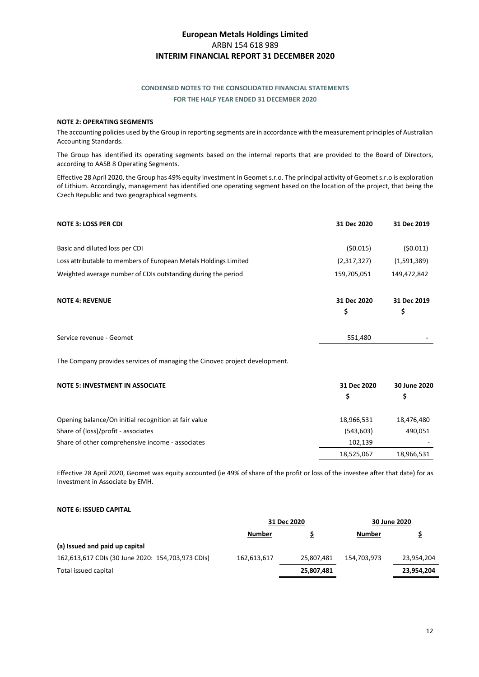## **CONDENSED NOTES TO THE CONSOLIDATED FINANCIAL STATEMENTS FOR THE HALF YEAR ENDED 31 DECEMBER 2020**

#### **NOTE 2: OPERATING SEGMENTS**

The accounting policies used by the Group in reporting segments are in accordance with the measurement principles of Australian Accounting Standards.

The Group has identified its operating segments based on the internal reports that are provided to the Board of Directors, according to AASB 8 Operating Segments.

Effective 28 April 2020, the Group has 49% equity investment in Geomet s.r.o. The principal activity of Geomet s.r.o is exploration of Lithium. Accordingly, management has identified one operating segment based on the location of the project, that being the Czech Republic and two geographical segments.

| <b>NOTE 3: LOSS PER CDI</b>                                      | 31 Dec 2020 | 31 Dec 2019 |
|------------------------------------------------------------------|-------------|-------------|
| Basic and diluted loss per CDI                                   | (50.015)    | (50.011)    |
| Loss attributable to members of European Metals Holdings Limited | (2,317,327) | (1,591,389) |
| Weighted average number of CDIs outstanding during the period    | 159,705,051 | 149,472,842 |
| <b>NOTE 4: REVENUE</b>                                           | 31 Dec 2020 | 31 Dec 2019 |
|                                                                  | \$          | \$          |
| Service revenue - Geomet                                         | 551,480     |             |

The Company provides services of managing the Cinovec project development.

| <b>NOTE 5: INVESTMENT IN ASSOCIATE</b>               | 31 Dec 2020 | 30 June 2020 |
|------------------------------------------------------|-------------|--------------|
| Opening balance/On initial recognition at fair value | 18,966,531  | 18,476,480   |
| Share of (loss)/profit - associates                  | (543,603)   | 490,051      |
| Share of other comprehensive income - associates     | 102.139     |              |
|                                                      | 18,525,067  | 18,966,531   |

Effective 28 April 2020, Geomet was equity accounted (ie 49% of share of the profit or loss of the investee after that date) for as Investment in Associate by EMH.

#### **NOTE 6: ISSUED CAPITAL**

|                                                   | 31 Dec 2020 |            |               | 30 June 2020 |
|---------------------------------------------------|-------------|------------|---------------|--------------|
|                                                   | Number      |            | <b>Number</b> |              |
| (a) Issued and paid up capital                    |             |            |               |              |
| 162,613,617 CDIs (30 June 2020: 154,703,973 CDIs) | 162,613,617 | 25,807,481 | 154,703,973   | 23,954,204   |
| Total issued capital                              |             | 25,807,481 |               | 23,954,204   |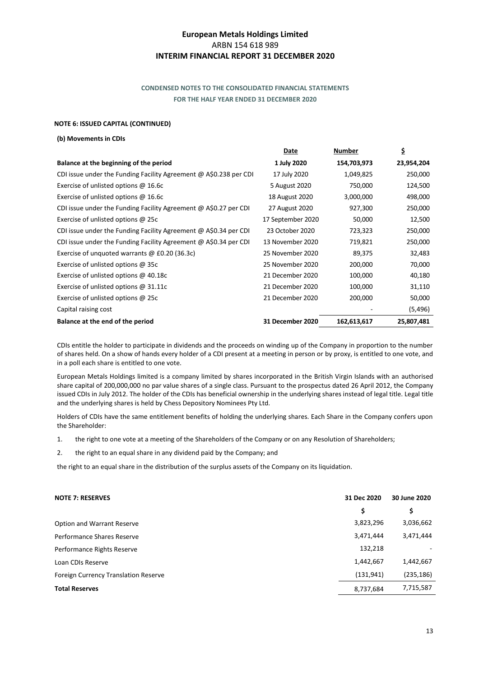## **CONDENSED NOTES TO THE CONSOLIDATED FINANCIAL STATEMENTS FOR THE HALF YEAR ENDED 31 DECEMBER 2020**

#### **NOTE 6: ISSUED CAPITAL (CONTINUED)**

|                                                                         | <b>Date</b>             | Number      | \$         |
|-------------------------------------------------------------------------|-------------------------|-------------|------------|
| Balance at the beginning of the period                                  | 1 July 2020             | 154,703,973 | 23,954,204 |
| CDI issue under the Funding Facility Agreement @ $A$0.238$ per CDI      | 17 July 2020            | 1,049,825   | 250,000    |
| Exercise of unlisted options $@$ 16.6c                                  | 5 August 2020           | 750,000     | 124,500    |
| Exercise of unlisted options $@$ 16.6c                                  | 18 August 2020          | 3,000,000   | 498,000    |
| CDI issue under the Funding Facility Agreement $\omega$ A\$0.27 per CDI | 27 August 2020          | 927,300     | 250,000    |
| Exercise of unlisted options @ 25c                                      | 17 September 2020       | 50,000      | 12,500     |
| CDI issue under the Funding Facility Agreement $\omega$ A\$0.34 per CDI | 23 October 2020         | 723,323     | 250,000    |
| CDI issue under the Funding Facility Agreement $\omega$ A\$0.34 per CDI | 13 November 2020        | 719,821     | 250,000    |
| Exercise of unquoted warrants @ $£0.20$ (36.3c)                         | 25 November 2020        | 89,375      | 32,483     |
| Exercise of unlisted options $@35c$                                     | 25 November 2020        | 200,000     | 70,000     |
| Exercise of unlisted options $@$ 40.18c                                 | 21 December 2020        | 100,000     | 40,180     |
| Exercise of unlisted options $@31.11c$                                  | 21 December 2020        | 100,000     | 31,110     |
| Exercise of unlisted options $@$ 25c                                    | 21 December 2020        | 200,000     | 50,000     |
| Capital raising cost                                                    |                         |             | (5, 496)   |
| Balance at the end of the period                                        | <b>31 December 2020</b> | 162,613,617 | 25,807,481 |

CDIs entitle the holder to participate in dividends and the proceeds on winding up of the Company in proportion to the number of shares held. On a show of hands every holder of a CDI present at a meeting in person or by proxy, is entitled to one vote, and in a poll each share is entitled to one vote.

European Metals Holdings limited is a company limited by shares incorporated in the British Virgin Islands with an authorised share capital of 200,000,000 no par value shares of a single class. Pursuant to the prospectus dated 26 April 2012, the Company issued CDIs in July 2012. The holder of the CDIs has beneficial ownership in the underlying shares instead of legal title. Legal title and the underlying shares is held by Chess Depository Nominees Pty Ltd.

Holders of CDIs have the same entitlement benefits of holding the underlying shares. Each Share in the Company confers upon the Shareholder:

- 1. the right to one vote at a meeting of the Shareholders of the Company or on any Resolution of Shareholders;
- 2. the right to an equal share in any dividend paid by the Company; and

the right to an equal share in the distribution of the surplus assets of the Company on its liquidation.

| <b>NOTE 7: RESERVES</b>                     | 31 Dec 2020 | 30 June 2020 |
|---------------------------------------------|-------------|--------------|
|                                             | \$          | \$           |
| Option and Warrant Reserve                  | 3,823,296   | 3,036,662    |
| Performance Shares Reserve                  | 3,471,444   | 3,471,444    |
| Performance Rights Reserve                  | 132,218     |              |
| Loan CDIs Reserve                           | 1,442,667   | 1,442,667    |
| <b>Foreign Currency Translation Reserve</b> | (131, 941)  | (235, 186)   |
| <b>Total Reserves</b>                       | 8,737,684   | 7,715,587    |
|                                             |             |              |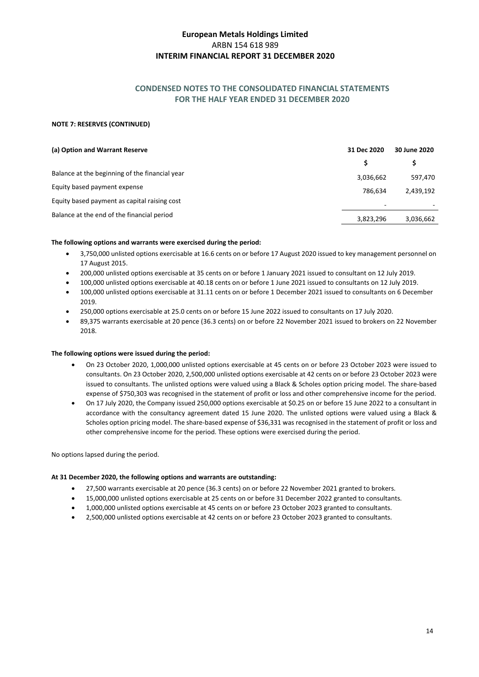## **CONDENSED NOTES TO THE CONSOLIDATED FINANCIAL STATEMENTS FOR THE HALF YEAR ENDED 31 DECEMBER 2020**

#### **NOTE 7: RESERVES (CONTINUED)**

| (a) Option and Warrant Reserve                 | 31 Dec 2020              | 30 June 2020 |  |
|------------------------------------------------|--------------------------|--------------|--|
|                                                |                          |              |  |
| Balance at the beginning of the financial year | 3,036,662                | 597.470      |  |
| Equity based payment expense                   | 786.634                  | 2.439.192    |  |
| Equity based payment as capital raising cost   | $\overline{\phantom{a}}$ |              |  |
| Balance at the end of the financial period     | 3,823,296                | 3,036,662    |  |

#### **The following options and warrants were exercised during the period:**

- 3,750,000 unlisted options exercisable at 16.6 cents on or before 17 August 2020 issued to key management personnel on 17 August 2015.
- 200,000 unlisted options exercisable at 35 cents on or before 1 January 2021 issued to consultant on 12 July 2019.
- 100,000 unlisted options exercisable at 40.18 cents on or before 1 June 2021 issued to consultants on 12 July 2019.
- 100,000 unlisted options exercisable at 31.11 cents on or before 1 December 2021 issued to consultants on 6 December 2019.
- 250,000 options exercisable at 25.0 cents on or before 15 June 2022 issued to consultants on 17 July 2020.
- 89,375 warrants exercisable at 20 pence (36.3 cents) on or before 22 November 2021 issued to brokers on 22 November 2018.

#### **The following options were issued during the period:**

- On 23 October 2020, 1,000,000 unlisted options exercisable at 45 cents on or before 23 October 2023 were issued to consultants. On 23 October 2020, 2,500,000 unlisted options exercisable at 42 cents on or before 23 October 2023 were issued to consultants. The unlisted options were valued using a Black & Scholes option pricing model. The share-based expense of \$750,303 was recognised in the statement of profit or loss and other comprehensive income for the period.
- On 17 July 2020, the Company issued 250,000 options exercisable at \$0.25 on or before 15 June 2022 to a consultant in accordance with the consultancy agreement dated 15 June 2020. The unlisted options were valued using a Black & Scholes option pricing model. The share-based expense of \$36,331 was recognised in the statement of profit or loss and other comprehensive income for the period. These options were exercised during the period.

No options lapsed during the period.

### **At 31 December 2020, the following options and warrants are outstanding:**

- 27,500 warrants exercisable at 20 pence (36.3 cents) on or before 22 November 2021 granted to brokers.
- 15,000,000 unlisted options exercisable at 25 cents on or before 31 December 2022 granted to consultants.
- 1,000,000 unlisted options exercisable at 45 cents on or before 23 October 2023 granted to consultants.
- 2,500,000 unlisted options exercisable at 42 cents on or before 23 October 2023 granted to consultants.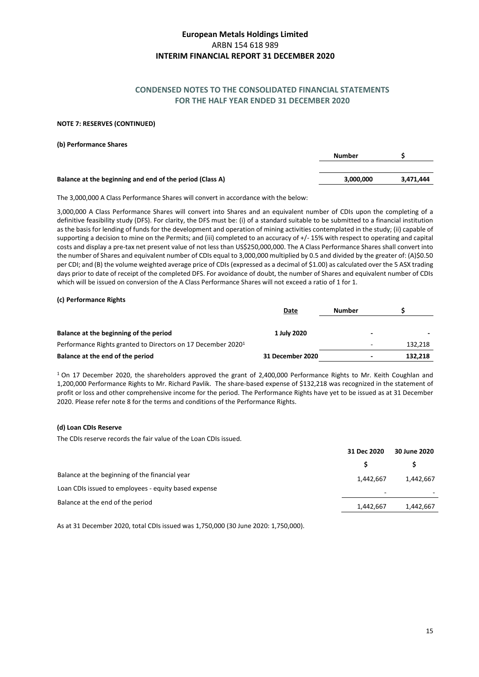## **CONDENSED NOTES TO THE CONSOLIDATED FINANCIAL STATEMENTS FOR THE HALF YEAR ENDED 31 DECEMBER 2020**

#### **NOTE 7: RESERVES (CONTINUED)**

#### **(b) Performance Shares**

|                                                          | <b>Number</b> |           |
|----------------------------------------------------------|---------------|-----------|
|                                                          |               |           |
| Balance at the beginning and end of the period (Class A) | 3,000,000     | 3,471,444 |
|                                                          |               |           |

The 3,000,000 A Class Performance Shares will convert in accordance with the below:

3,000,000 A Class Performance Shares will convert into Shares and an equivalent number of CDIs upon the completing of a definitive feasibility study (DFS). For clarity, the DFS must be: (i) of a standard suitable to be submitted to a financial institution as the basis for lending of funds for the development and operation of mining activities contemplated in the study; (ii) capable of supporting a decision to mine on the Permits; and (iii) completed to an accuracy of +/- 15% with respect to operating and capital costs and display a pre-tax net present value of not less than US\$250,000,000. The A Class Performance Shares shall convert into the number of Shares and equivalent number of CDIs equal to 3,000,000 multiplied by 0.5 and divided by the greater of: (A)\$0.50 per CDI; and (B) the volume weighted average price of CDIs (expressed as a decimal of \$1.00) as calculated over the 5 ASX trading days prior to date of receipt of the completed DFS. For avoidance of doubt, the number of Shares and equivalent number of CDIs which will be issued on conversion of the A Class Performance Shares will not exceed a ratio of 1 for 1.

#### **(c) Performance Rights**

| <b>Date</b>      | Number |                                                           |
|------------------|--------|-----------------------------------------------------------|
|                  |        |                                                           |
| 1 July 2020      |        |                                                           |
|                  |        | 132,218                                                   |
| 31 December 2020 |        | 132,218                                                   |
|                  |        | $\overline{\phantom{0}}$<br>٠<br>$\overline{\phantom{0}}$ |

<sup>1</sup> On 17 December 2020, the shareholders approved the grant of 2,400,000 Performance Rights to Mr. Keith Coughlan and 1,200,000 Performance Rights to Mr. Richard Pavlik. The share-based expense of \$132,218 was recognized in the statement of profit or loss and other comprehensive income for the period. The Performance Rights have yet to be issued as at 31 December 2020. Please refer note 8 for the terms and conditions of the Performance Rights.

### **(d) Loan CDIs Reserve**

The CDIs reserve records the fair value of the Loan CDIs issued.

|                                                      | 31 Dec 2020              | 30 June 2020 |
|------------------------------------------------------|--------------------------|--------------|
|                                                      |                          |              |
| Balance at the beginning of the financial year       | 1,442,667                | 1,442,667    |
| Loan CDIs issued to employees - equity based expense | $\overline{\phantom{0}}$ |              |
| Balance at the end of the period                     | 1,442,667                | 1,442,667    |
|                                                      |                          |              |

As at 31 December 2020, total CDIs issued was 1,750,000 (30 June 2020: 1,750,000).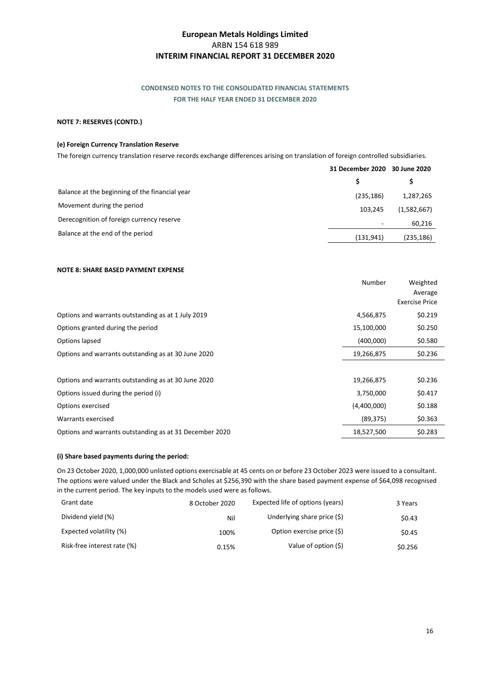## **CONDENSED NOTES TO THE CONSOLIDATED FINANCIAL STATEMENTS FOR THE HALF YEAR ENDED 31 DECEMBER 2020**

### **NOTE 7: RESERVES (CONTD.)**

#### **(e) Foreign Currency Translation Reserve**

The foreign currency translation reserve records exchange differences arising on translation of foreign controlled subsidiaries.

|                                                | 31 December 2020 30 June 2020 |             |
|------------------------------------------------|-------------------------------|-------------|
|                                                |                               |             |
| Balance at the beginning of the financial year | (235, 186)                    | 1,287,265   |
| Movement during the period                     | 103.245                       | (1,582,667) |
| Derecognition of foreign currency reserve      | ٠                             | 60,216      |
| Balance at the end of the period               | (131, 941)                    | (235, 186)  |
|                                                |                               |             |

### **NOTE 8: SHARE BASED PAYMENT EXPENSE**

|                                                         | Number      | Weighted<br>Average<br><b>Exercise Price</b> |
|---------------------------------------------------------|-------------|----------------------------------------------|
| Options and warrants outstanding as at 1 July 2019      | 4,566,875   | \$0.219                                      |
| Options granted during the period                       | 15,100,000  | \$0.250                                      |
| Options lapsed                                          | (400,000)   | \$0.580                                      |
| Options and warrants outstanding as at 30 June 2020     | 19,266,875  | \$0.236                                      |
|                                                         |             |                                              |
| Options and warrants outstanding as at 30 June 2020     | 19,266,875  | \$0.236                                      |
| Options issued during the period (i)                    | 3,750,000   | \$0.417                                      |
| Options exercised                                       | (4,400,000) | \$0.188                                      |
| Warrants exercised                                      | (89, 375)   | \$0.363                                      |
| Options and warrants outstanding as at 31 December 2020 | 18,527,500  | \$0.283                                      |

### **(i) Share based payments during the period:**

On 23 October 2020, 1,000,000 unlisted options exercisable at 45 cents on or before 23 October 2023 were issued to a consultant. The options were valued under the Black and Scholes at \$256,390 with the share based payment expense of \$64,098 recognised in the current period. The key inputs to the models used were as follows.

| 3 Years | Expected life of options (years) | 8 October 2020 | Grant date                  |
|---------|----------------------------------|----------------|-----------------------------|
| \$0.43  | Underlying share price $(\xi)$   | Nil            | Dividend yield (%)          |
| \$0.45  | Option exercise price (\$)       | 100%           | Expected volatility (%)     |
| \$0.256 | Value of option (\$)             | 0.15%          | Risk-free interest rate (%) |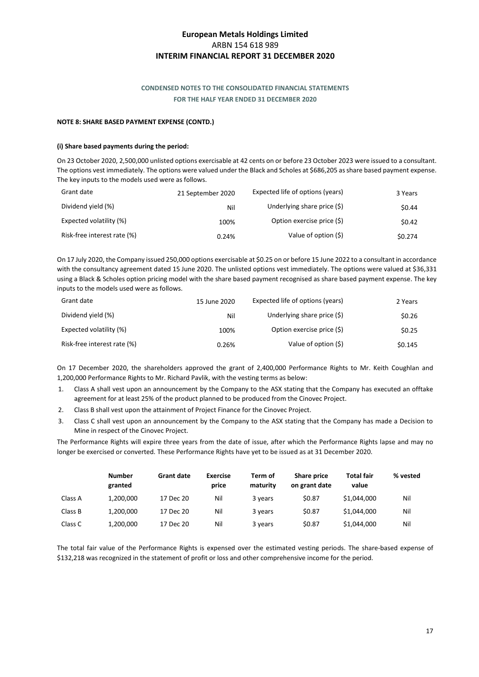## **CONDENSED NOTES TO THE CONSOLIDATED FINANCIAL STATEMENTS FOR THE HALF YEAR ENDED 31 DECEMBER 2020**

#### **NOTE 8: SHARE BASED PAYMENT EXPENSE (CONTD.)**

#### **(i) Share based payments during the period:**

On 23 October 2020, 2,500,000 unlisted options exercisable at 42 cents on or before 23 October 2023 were issued to a consultant. The options vest immediately. The options were valued under the Black and Scholes at \$686,205 as share based payment expense. The key inputs to the models used were as follows.

| Grant date                  | 21 September 2020 | Expected life of options (years) | 3 Years |
|-----------------------------|-------------------|----------------------------------|---------|
| Dividend yield (%)          | Nil               | Underlying share price (\$)      | \$0.44  |
| Expected volatility (%)     | 100%              | Option exercise price (\$)       | \$0.42  |
| Risk-free interest rate (%) | 0.24%             | Value of option (\$)             | \$0.274 |

On 17 July 2020, the Company issued 250,000 options exercisable at \$0.25 on or before 15 June 2022 to a consultant in accordance with the consultancy agreement dated 15 June 2020. The unlisted options vest immediately. The options were valued at \$36,331 using a Black & Scholes option pricing model with the share based payment recognised as share based payment expense. The key inputs to the models used were as follows.

| Grant date                  | 15 June 2020 | Expected life of options (years) | 2 Years |
|-----------------------------|--------------|----------------------------------|---------|
| Dividend yield (%)          | Nil          | Underlying share price (\$)      | \$0.26  |
| Expected volatility (%)     | 100%         | Option exercise price (\$)       | \$0.25  |
| Risk-free interest rate (%) | 0.26%        | Value of option (\$)             | \$0.145 |

On 17 December 2020, the shareholders approved the grant of 2,400,000 Performance Rights to Mr. Keith Coughlan and 1,200,000 Performance Rights to Mr. Richard Pavlik, with the vesting terms as below:

- 1. Class A shall vest upon an announcement by the Company to the ASX stating that the Company has executed an offtake agreement for at least 25% of the product planned to be produced from the Cinovec Project.
- 2. Class B shall vest upon the attainment of Project Finance for the Cinovec Project.
- 3. Class C shall vest upon an announcement by the Company to the ASX stating that the Company has made a Decision to Mine in respect of the Cinovec Project.

The Performance Rights will expire three years from the date of issue, after which the Performance Rights lapse and may no longer be exercised or converted. These Performance Rights have yet to be issued as at 31 December 2020.

|         | <b>Number</b><br>granted | <b>Grant date</b> | <b>Exercise</b><br>price | Term of<br>maturity | Share price<br>on grant date | <b>Total fair</b><br>value | % vested |
|---------|--------------------------|-------------------|--------------------------|---------------------|------------------------------|----------------------------|----------|
| Class A | 1,200,000                | 17 Dec 20         | Nil                      | 3 years             | \$0.87                       | \$1,044,000                | Nil      |
| Class B | 1,200,000                | 17 Dec 20         | Nil                      | 3 years             | \$0.87                       | \$1,044,000                | Nil      |
| Class C | 1,200,000                | 17 Dec 20         | Nil                      | 3 years             | \$0.87                       | \$1,044,000                | Nil      |

The total fair value of the Performance Rights is expensed over the estimated vesting periods. The share-based expense of \$132,218 was recognized in the statement of profit or loss and other comprehensive income for the period.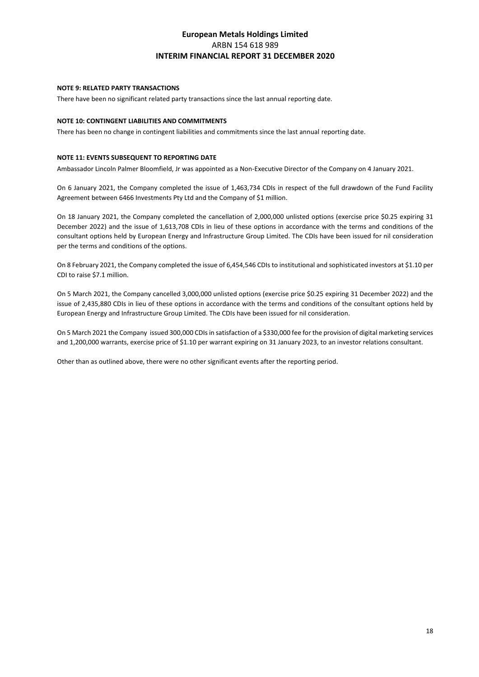#### **NOTE 9: RELATED PARTY TRANSACTIONS**

There have been no significant related party transactions since the last annual reporting date.

#### **NOTE 10: CONTINGENT LIABILITIES AND COMMITMENTS**

There has been no change in contingent liabilities and commitments since the last annual reporting date.

#### **NOTE 11: EVENTS SUBSEQUENT TO REPORTING DATE**

Ambassador Lincoln Palmer Bloomfield, Jr was appointed as a Non-Executive Director of the Company on 4 January 2021.

On 6 January 2021, the Company completed the issue of 1,463,734 CDIs in respect of the full drawdown of the Fund Facility Agreement between 6466 Investments Pty Ltd and the Company of \$1 million.

On 18 January 2021, the Company completed the cancellation of 2,000,000 unlisted options (exercise price \$0.25 expiring 31 December 2022) and the issue of 1,613,708 CDIs in lieu of these options in accordance with the terms and conditions of the consultant options held by European Energy and Infrastructure Group Limited. The CDIs have been issued for nil consideration per the terms and conditions of the options.

On 8 February 2021, the Company completed the issue of 6,454,546 CDIs to institutional and sophisticated investors at \$1.10 per CDI to raise \$7.1 million.

On 5 March 2021, the Company cancelled 3,000,000 unlisted options (exercise price \$0.25 expiring 31 December 2022) and the issue of 2,435,880 CDIs in lieu of these options in accordance with the terms and conditions of the consultant options held by European Energy and Infrastructure Group Limited. The CDIs have been issued for nil consideration.

On 5 March 2021 the Company issued 300,000 CDIs in satisfaction of a \$330,000 fee for the provision of digital marketing services and 1,200,000 warrants, exercise price of \$1.10 per warrant expiring on 31 January 2023, to an investor relations consultant.

Other than as outlined above, there were no other significant events after the reporting period.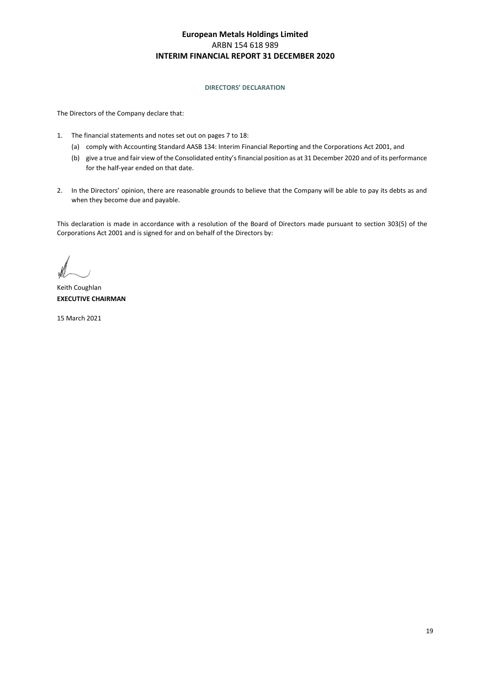#### **DIRECTORS' DECLARATION**

The Directors of the Company declare that:

- 1. The financial statements and notes set out on pages 7 to 18:
	- (a) comply with Accounting Standard AASB 134: Interim Financial Reporting and the Corporations Act 2001, and
	- (b) give a true and fair view of the Consolidated entity's financial position as at 31 December 2020 and of its performance for the half-year ended on that date.
- 2. In the Directors' opinion, there are reasonable grounds to believe that the Company will be able to pay its debts as and when they become due and payable.

This declaration is made in accordance with a resolution of the Board of Directors made pursuant to section 303(5) of the Corporations Act 2001 and is signed for and on behalf of the Directors by:

Keith Coughlan **EXECUTIVE CHAIRMAN**

15 March 2021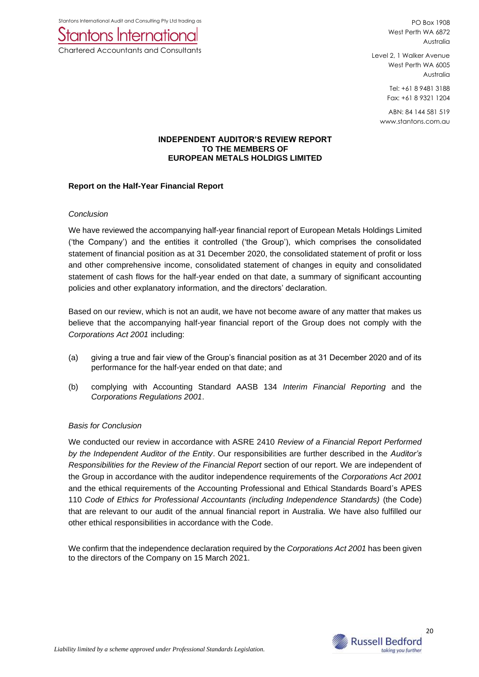Stantons International Audit and Consulting Pty Ltd trading as



Chartered Accountants and Consultants

PO Box 1908 West Perth WA 6872 Australia

Level 2, 1 Walker Avenue West Perth WA 6005 Australia

> Tel: +61 8 9481 3188 Fax: +61 8 9321 1204

ABN: 84 144 581 519 www.stantons.com.au

## **INDEPENDENT AUDITOR'S REVIEW REPORT TO THE MEMBERS OF EUROPEAN METALS HOLDIGS LIMITED**

## **Report on the Half-Year Financial Report**

## *Conclusion*

We have reviewed the accompanying half-year financial report of European Metals Holdings Limited ('the Company') and the entities it controlled ('the Group'), which comprises the consolidated statement of financial position as at 31 December 2020, the consolidated statement of profit or loss and other comprehensive income, consolidated statement of changes in equity and consolidated statement of cash flows for the half-year ended on that date, a summary of significant accounting policies and other explanatory information, and the directors' declaration.

Based on our review, which is not an audit, we have not become aware of any matter that makes us believe that the accompanying half-year financial report of the Group does not comply with the *Corporations Act 2001* including:

- (a) giving a true and fair view of the Group's financial position as at 31 December 2020 and of its performance for the half-year ended on that date; and
- (b) complying with Accounting Standard AASB 134 *Interim Financial Reporting* and the *Corporations Regulations 2001*.

## *Basis for Conclusion*

We conducted our review in accordance with ASRE 2410 *Review of a Financial Report Performed by the Independent Auditor of the Entity*. Our responsibilities are further described in the *Auditor's Responsibilities for the Review of the Financial Report* section of our report. We are independent of the Group in accordance with the auditor independence requirements of the *Corporations Act 2001* and the ethical requirements of the Accounting Professional and Ethical Standards Board's APES 110 *Code of Ethics for Professional Accountants (including Independence Standards)* (the Code) that are relevant to our audit of the annual financial report in Australia. We have also fulfilled our other ethical responsibilities in accordance with the Code.

We confirm that the independence declaration required by the *Corporations Act 2001* has been given to the directors of the Company on 15 March 2021. We confirm that the independence declaration required by the Corporations Act 2001 has been given<br>to the directors of the Company on 15 March 2021.